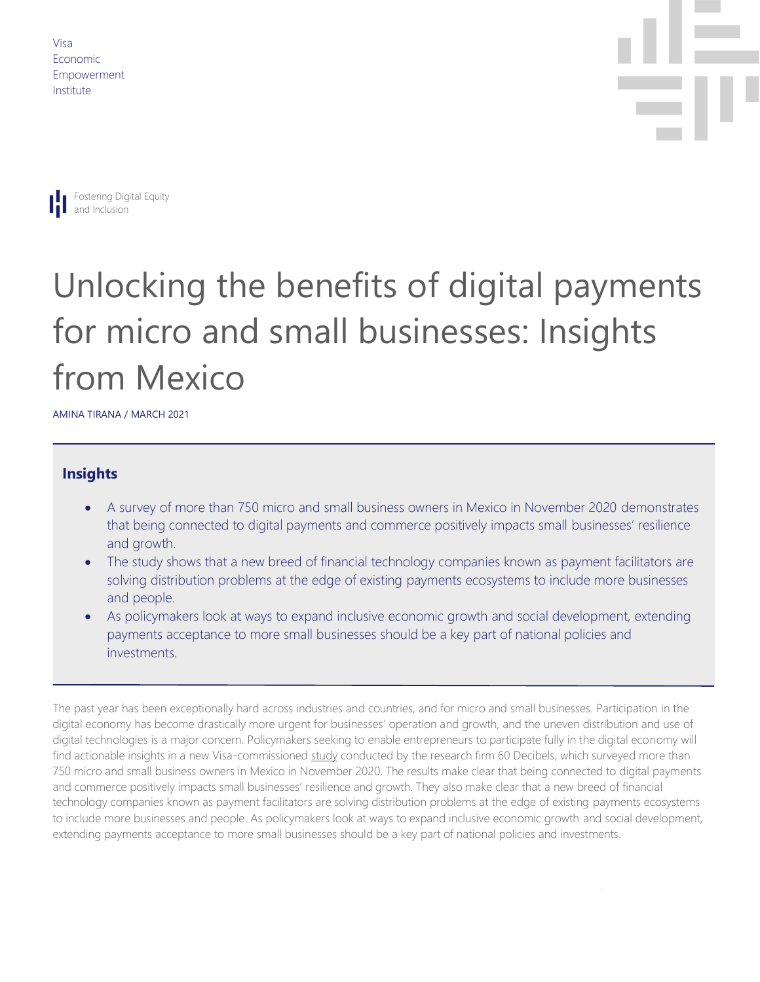Visa Economic Empowerment Institute





# Unlocking the benefits of digital payments for micro and small businesses: Insights from Mexico

AMINA TIRANA / MARCH 2021

#### **Insights**

- • A survey of more than 750 micro and small business owners in Mexico in November 2020 demonstrates that being connected to digital payments and commerce positively impacts small businesses' resilience and growth.
- The study shows that a new breed of financial technology companies known as payment facilitators are solving distribution problems at the edge of existing payments ecosystems to include more businesses and people.
- As policymakers look at ways to expand inclusive economic growth and social development, extending payments acceptance to more small businesses should be a key part of national policies and investments.

 The past year has been exceptionally hard across industries and countries, and for micro and small businesses. Participation in the digital economy has become drastically more urgent for businesses' operation and growth, and the uneven distribution and use of digital technologies is a major concern. Policymakers seeking to enable entrepreneurs to participate fully in the digital economy will find actionable insights in a new Visa-commissioned [study](https://usa.visa.com/content/dam/VCOM/global/about-visa/documents/understanding-obstacles-facing-small-and-micro-business-owners.pdf) conducted by the research firm 60 Decibels, which surveyed more than 750 micro and small business owners in Mexico in November 2020. The results make clear that being connected to digital payments and commerce positively impacts small businesses' resilience and growth. They also make clear that a new breed of financial technology companies known as payment facilitators are solving distribution problems at the edge of existing payments ecosystems to include more businesses and people. As policymakers look at ways to expand inclusive economic growth and social development, extending payments acceptance to more small businesses should be a key part of national policies and investments.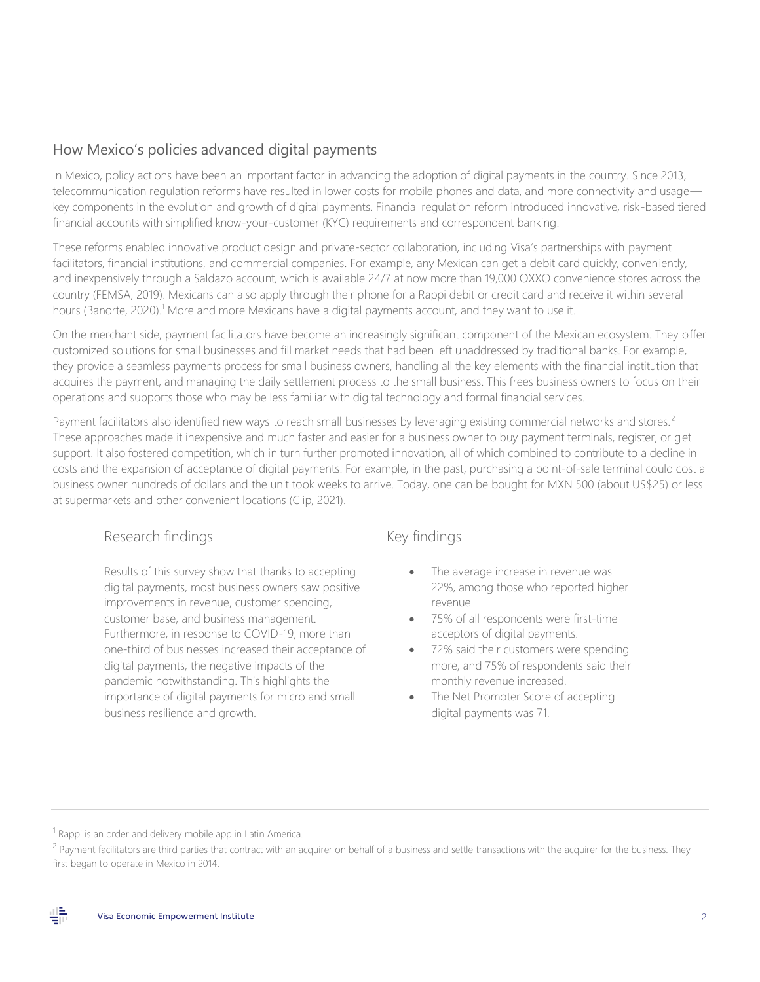## How Mexico's policies advanced digital payments

 In Mexico, policy actions have been an important factor in advancing the adoption of digital payments in the country. Since 2013, telecommunication regulation reforms have resulted in lower costs for mobile phones and data, and more connectivity and usage— key components in the evolution and growth of digital payments. Financial regulation reform introduced innovative, risk-based tiered financial accounts with simplified know-your-customer (KYC) requirements and correspondent banking.

 These reforms enabled innovative product design and private-sector collaboration, including Visa's partnerships with payment facilitators, financial institutions, and commercial companies. For example, any Mexican can get a debit card quickly, conveniently, and inexpensively through a Saldazo account, which is available 24/7 at now more than 19,000 OXXO convenience stores across the country (FEMSA, 2019). Mexicans can also apply through their phone for a Rappi debit or credit card and receive it within several hours (Banorte, 2020).<sup>1</sup> More and more Mexicans have a digital payments account, and they want to use it.

 On the merchant side, payment facilitators have become an increasingly significant component of the Mexican ecosystem. They offer customized solutions for small businesses and fill market needs that had been left unaddressed by traditional banks. For example, they provide a seamless payments process for small business owners, handling all the key elements with the financial institution that acquires the payment, and managing the daily settlement process to the small business. This frees business owners to focus on their operations and supports those who may be less familiar with digital technology and formal financial services.

Payment facilitators also identified new ways to reach small businesses by leveraging existing commercial networks and stores.<sup>2</sup> These approaches made it inexpensive and much faster and easier for a business owner to buy payment terminals, register, or get support. It also fostered competition, which in turn further promoted innovation, all of which combined to contribute to a decline in costs and the expansion of acceptance of digital payments. For example, in the past, purchasing a point-of-sale terminal could cost a business owner hundreds of dollars and the unit took weeks to arrive. Today, one can be bought for MXN 500 (about US\$25) or less at supermarkets and other convenient locations (Clip, 2021).

## Research findings

Results of this survey show that thanks to accepting digital payments, most business owners saw positive improvements in revenue, customer spending, customer base, and business management. Furthermore, in response to COVID-19, more than one-third of businesses increased their acceptance of digital payments, the negative impacts of the pandemic notwithstanding. This highlights the importance of digital payments for micro and small business resilience and growth.

## Key findings

- The average increase in revenue was 22%, among those who reported higher revenue.
- 75% of all respondents were first-time acceptors of digital payments.
- 72% said their customers were spending more, and 75% of respondents said their monthly revenue increased.
- The Net Promoter Score of accepting digital payments was 71.

<sup>&</sup>lt;sup>2</sup> Payment facilitators are third parties that contract with an acquirer on behalf of a business and settle transactions with the acquirer for the business. They first began to operate in Mexico in 2014.



 $1$  Rappi is an order and delivery mobile app in Latin America.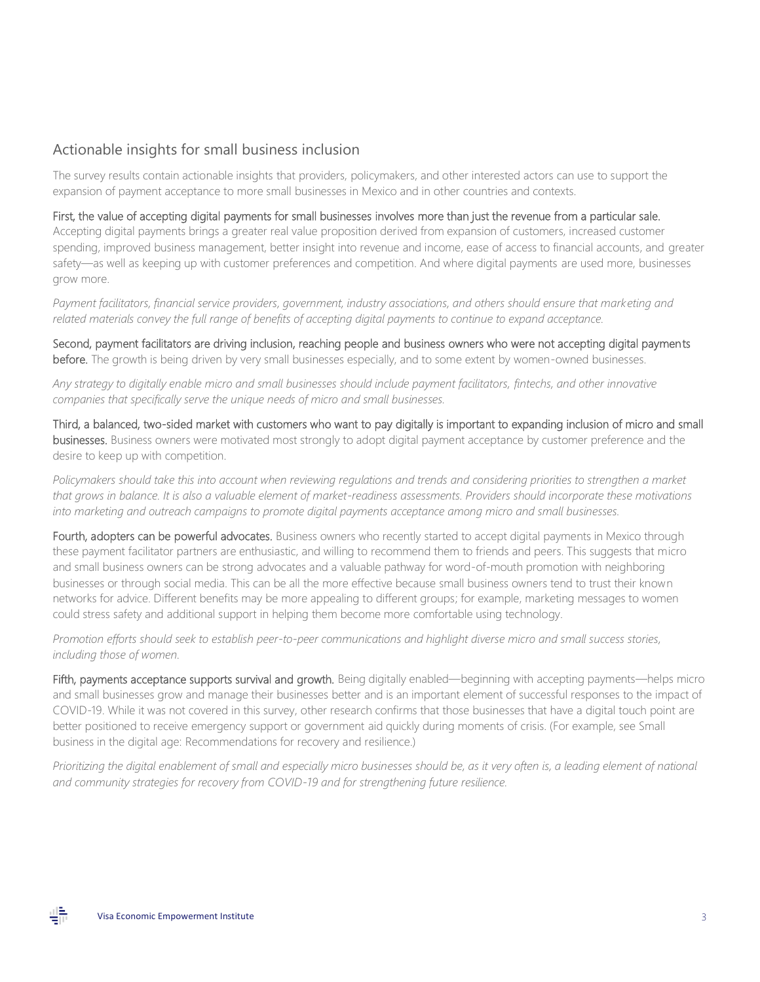#### Actionable insights for small business inclusion

 The survey results contain actionable insights that providers, policymakers, and other interested actors can use to support the expansion of payment acceptance to more small businesses in Mexico and in other countries and contexts.

#### First, the value of accepting digital payments for small businesses involves more than just the revenue from a particular sale.

 Accepting digital payments brings a greater real value proposition derived from expansion of customers, increased customer spending, improved business management, better insight into revenue and income, ease of access to financial accounts, and greater safety—as well as keeping up with customer preferences and competition. And where digital payments are used more, businesses grow more.

Payment facilitators, financial service providers, government, industry associations, and others should ensure that marketing and related materials convey the full range of benefits of accepting digital payments to continue to expand acceptance.

 Second, payment facilitators are driving inclusion, reaching people and business owners who were not accepting digital payments before. The growth is being driven by very small businesses especially, and to some extent by women-owned businesses.

 *Any strategy to digitally enable micro and small businesses should include payment facilitators, fintechs, and other innovative companies that specifically serve the unique needs of micro and small businesses.* 

 Third, a balanced, two-sided market with customers who want to pay digitally is important to expanding inclusion of micro and small businesses. Business owners were motivated most strongly to adopt digital payment acceptance by customer preference and the desire to keep up with competition.

Policymakers should take this into account when reviewing regulations and trends and considering priorities to strengthen a market  *that grows in balance. It is also a valuable element of market-readiness assessments. Providers should incorporate these motivations into marketing and outreach campaigns to promote digital payments acceptance among micro and small businesses.* 

Fourth, adopters can be powerful advocates. Business owners who recently started to accept digital payments in Mexico through these payment facilitator partners are enthusiastic, and willing to recommend them to friends and peers. This suggests that micro and small business owners can be strong advocates and a valuable pathway for word-of-mouth promotion with neighboring businesses or through social media. This can be all the more effective because small business owners tend to trust their known networks for advice. Different benefits may be more appealing to different groups; for example, marketing messages to women could stress safety and additional support in helping them become more comfortable using technology.

 *Promotion efforts should seek to establish peer-to-peer communications and highlight diverse micro and small success stories, including those of women.* 

Fifth, payments acceptance supports survival and growth. Being digitally enabled—beginning with accepting payments—helps micro and small businesses grow and manage their businesses better and is an important element of successful responses to the impact of COVID-19. While it was not covered in this survey, other research confirms that those businesses that have a digital touch point are better positioned to receive emergency support or government aid quickly during moments of crisis. (For example, see Small business in the digital age: Recommendations for recovery and resilience.)

Prioritizing the digital enablement of small and especially micro businesses should be, as it very often is, a leading element of national  *and community strategies for recovery from COVID-19 and for strengthening future resilience.*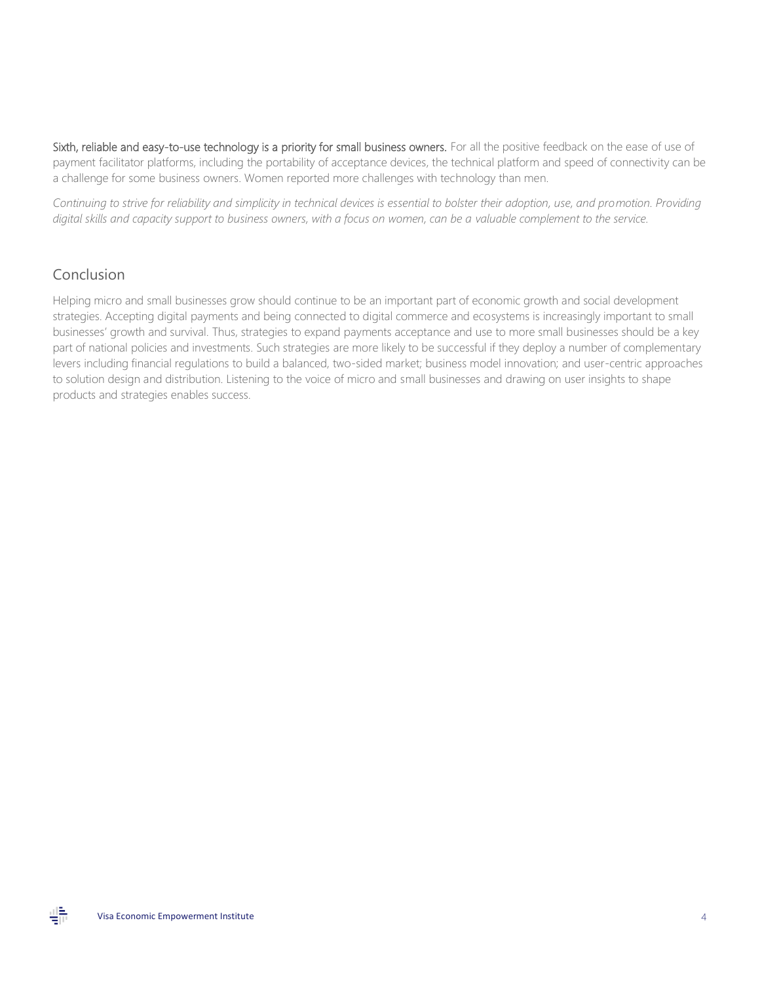Sixth, reliable and easy-to-use technology is a priority for small business owners. For all the positive feedback on the ease of use of payment facilitator platforms, including the portability of acceptance devices, the technical platform and speed of connectivity can be a challenge for some business owners. Women reported more challenges with technology than men.

 *Continuing to strive for reliability and simplicity in technical devices is essential to bolster their adoption, use, and promotion. Providing digital skills and capacity support to business owners, with a focus on women, can be a valuable complement to the service.* 

#### Conclusion

 Helping micro and small businesses grow should continue to be an important part of economic growth and social development strategies. Accepting digital payments and being connected to digital commerce and ecosystems is increasingly important to small businesses' growth and survival. Thus, strategies to expand payments acceptance and use to more small businesses should be a key part of national policies and investments. Such strategies are more likely to be successful if they deploy a number of complementary levers including financial regulations to build a balanced, two-sided market; business model innovation; and user-centric approaches to solution design and distribution. Listening to the voice of micro and small businesses and drawing on user insights to shape products and strategies enables success.

쁡